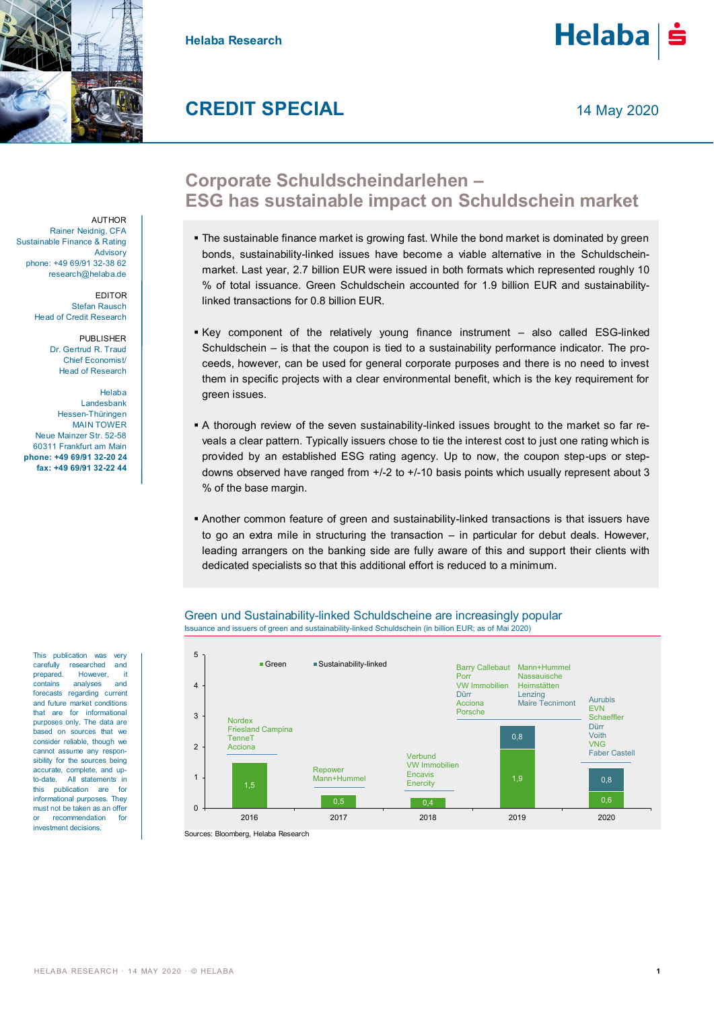

**Helaba Research**



# **CREDIT SPECIAL**

14 May 2020

**AUTHOR** Rainer Neidnig, CFA Sustainable Finance & Rating **Advisory** phone: +49 69/91 32-38 62 research@helaba.de

> EDITOR Stefan Rausch Head of Credit Research

> > PUBLISHER Dr. Gertrud R. Traud Chief Economist/ Head of Research

Helaba Landesbank Hessen-Thüringen MAIN TOWER Neue Mainzer Str. 52-58 60311 Frankfurt am Main **phone: +49 69/91 32-20 24 fax: +49 69/91 32-22 44**

This publication was very carefully researched and prepared. However, it<br>contains analyses and analyses forecasts regarding current and future market conditions that are for informational purposes only. The data are based on sources that we consider reliable, though we cannot assume any responsibility for the sources being accurate, complete, and up to-date. All statements in this publication are for informational purposes. They must not be taken as an offer or recommendation for investment decisions.

## **Corporate Schuldscheindarlehen – ESG has sustainable impact on Schuldschein market**

- The sustainable finance market is growing fast. While the bond market is dominated by green bonds, sustainability-linked issues have become a viable alternative in the Schuldscheinmarket. Last year, 2.7 billion EUR were issued in both formats which represented roughly 10 % of total issuance. Green Schuldschein accounted for 1.9 billion EUR and sustainabilitylinked transactions for 0.8 billion EUR.
- Key component of the relatively young finance instrument also called ESG-linked Schuldschein – is that the coupon is tied to a sustainability performance indicator. The proceeds, however, can be used for general corporate purposes and there is no need to invest them in specific projects with a clear environmental benefit, which is the key requirement for green issues.
- A thorough review of the seven sustainability-linked issues brought to the market so far reveals a clear pattern. Typically issuers chose to tie the interest cost to just one rating which is provided by an established ESG rating agency. Up to now, the coupon step-ups or stepdowns observed have ranged from +/-2 to +/-10 basis points which usually represent about 3 % of the base margin.
- Another common feature of green and sustainability-linked transactions is that issuers have to go an extra mile in structuring the transaction – in particular for debut deals. However, leading arrangers on the banking side are fully aware of this and support their clients with dedicated specialists so that this additional effort is reduced to a minimum.





Sources: Bloomberg, Helaba Research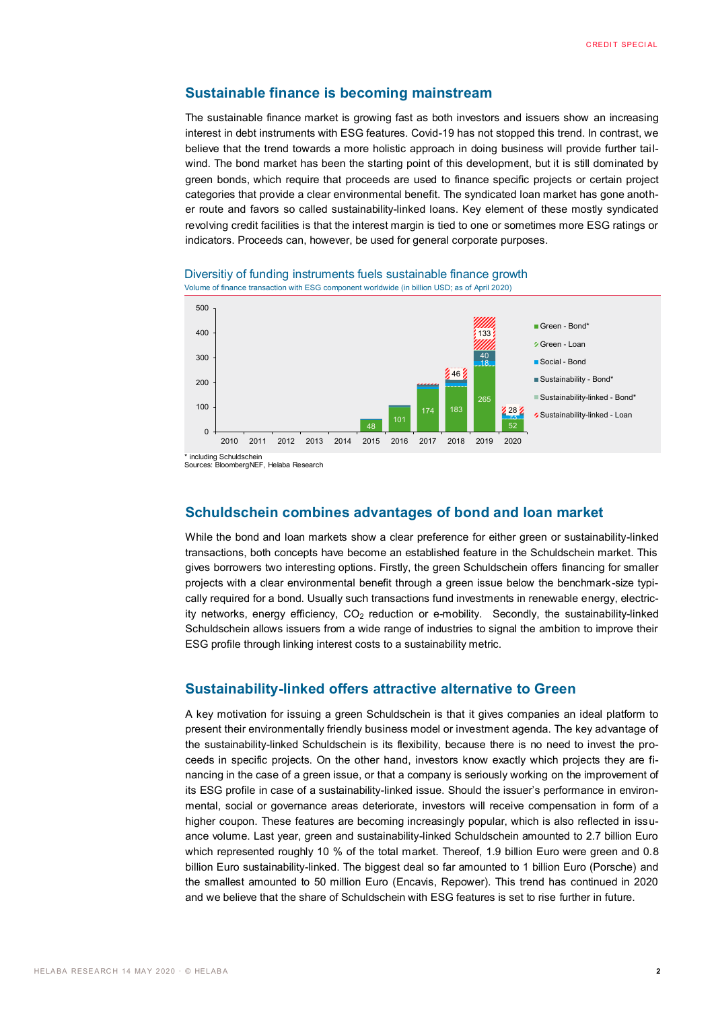#### **Sustainable finance is becoming mainstream**

The sustainable finance market is growing fast as both investors and issuers show an increasing interest in debt instruments with ESG features. Covid-19 has not stopped this trend. In contrast, we believe that the trend towards a more holistic approach in doing business will provide further tailwind. The bond market has been the starting point of this development, but it is still dominated by green bonds, which require that proceeds are used to finance specific projects or certain project categories that provide a clear environmental benefit. The syndicated loan market has gone another route and favors so called sustainability-linked loans. Key element of these mostly syndicated revolving credit facilities is that the interest margin is tied to one or sometimes more ESG ratings or indicators. Proceeds can, however, be used for general corporate purposes.





Sources: BloombergNEF, Helaba Research

### **Schuldschein combines advantages of bond and loan market**

While the bond and loan markets show a clear preference for either green or sustainability-linked transactions, both concepts have become an established feature in the Schuldschein market. This gives borrowers two interesting options. Firstly, the green Schuldschein offers financing for smaller projects with a clear environmental benefit through a green issue below the benchmark-size typically required for a bond. Usually such transactions fund investments in renewable energy, electricity networks, energy efficiency,  $CO<sub>2</sub>$  reduction or e-mobility. Secondly, the sustainability-linked Schuldschein allows issuers from a wide range of industries to signal the ambition to improve their ESG profile through linking interest costs to a sustainability metric.

#### **Sustainability-linked offers attractive alternative to Green**

A key motivation for issuing a green Schuldschein is that it gives companies an ideal platform to present their environmentally friendly business model or investment agenda. The key advantage of the sustainability-linked Schuldschein is its flexibility, because there is no need to invest the proceeds in specific projects. On the other hand, investors know exactly which projects they are financing in the case of a green issue, or that a company is seriously working on the improvement of its ESG profile in case of a sustainability-linked issue. Should the issuer's performance in environmental, social or governance areas deteriorate, investors will receive compensation in form of a higher coupon. These features are becoming increasingly popular, which is also reflected in issuance volume. Last year, green and sustainability-linked Schuldschein amounted to 2.7 billion Euro which represented roughly 10 % of the total market. Thereof, 1.9 billion Euro were green and 0.8 billion Euro sustainability-linked. The biggest deal so far amounted to 1 billion Euro (Porsche) and the smallest amounted to 50 million Euro (Encavis, Repower). This trend has continued in 2020 and we believe that the share of Schuldschein with ESG features is set to rise further in future.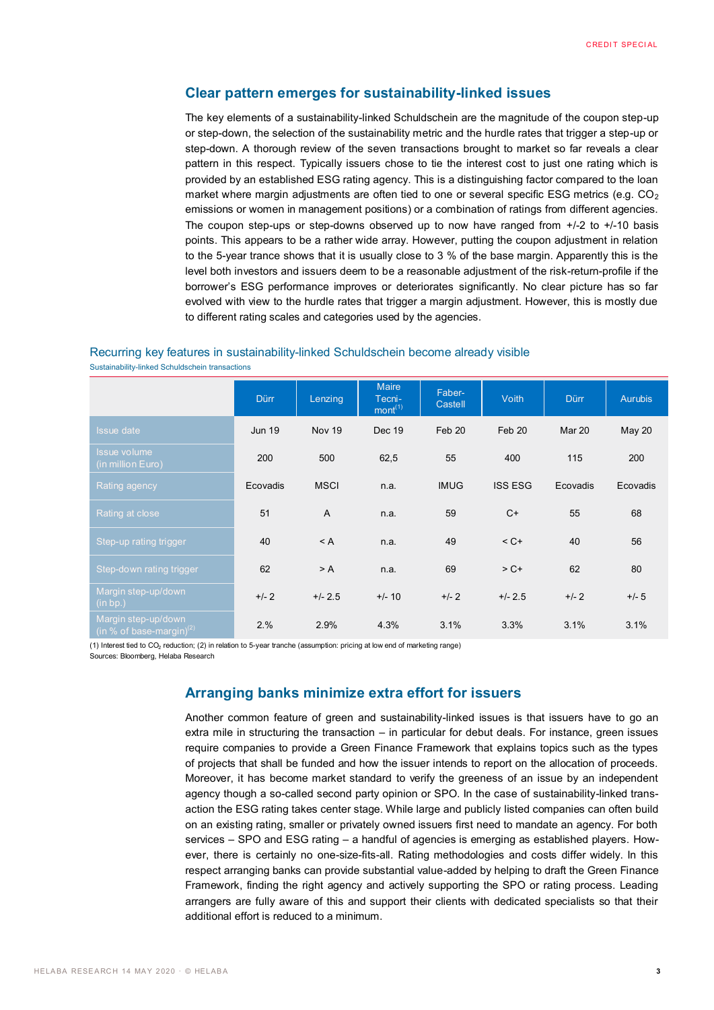### **Clear pattern emerges for sustainability-linked issues**

The key elements of a sustainability-linked Schuldschein are the magnitude of the coupon step-up or step-down, the selection of the sustainability metric and the hurdle rates that trigger a step-up or step-down. A thorough review of the seven transactions brought to market so far reveals a clear pattern in this respect. Typically issuers chose to tie the interest cost to just one rating which is provided by an established ESG rating agency. This is a distinguishing factor compared to the loan market where margin adjustments are often tied to one or several specific ESG metrics (e.g.  $CO<sub>2</sub>$ emissions or women in management positions) or a combination of ratings from different agencies. The coupon step-ups or step-downs observed up to now have ranged from  $+/2$  to  $+/10$  basis points. This appears to be a rather wide array. However, putting the coupon adjustment in relation to the 5-year trance shows that it is usually close to 3 % of the base margin. Apparently this is the level both investors and issuers deem to be a reasonable adjustment of the risk-return-profile if the borrower's ESG performance improves or deteriorates significantly. No clear picture has so far evolved with view to the hurdle rates that trigger a margin adjustment. However, this is mostly due to different rating scales and categories used by the agencies.

#### Recurring key features in sustainability-linked Schuldschein become already visible

Sustainability-linked Schuldschein transactions

|                                                    | <b>Dürr</b>   | Lenzing       | <b>Maire</b><br>Tecni-<br>mont <sup>(1)</sup> | Faber-<br>Castell | <b>Voith</b>   | <b>Dürr</b> | <b>Aurubis</b> |
|----------------------------------------------------|---------------|---------------|-----------------------------------------------|-------------------|----------------|-------------|----------------|
| <b>Issue date</b>                                  | <b>Jun 19</b> | <b>Nov 19</b> | Dec 19                                        | Feb 20            | Feb 20         | Mar 20      | <b>May 20</b>  |
| <b>Issue volume</b><br>(in million Euro)           | 200           | 500           | 62,5                                          | 55                | 400            | 115         | 200            |
| Rating agency                                      | Ecovadis      | <b>MSCI</b>   | n.a.                                          | <b>IMUG</b>       | <b>ISS ESG</b> | Ecovadis    | Ecovadis       |
| Rating at close                                    | 51            | $\mathsf{A}$  | n.a.                                          | 59                | $C+$           | 55          | 68             |
| Step-up rating trigger                             | 40            | $<$ A         | n.a.                                          | 49                | $<$ C+         | 40          | 56             |
| Step-down rating trigger                           | 62            | > A           | n.a.                                          | 69                | $> C +$        | 62          | 80             |
| Margin step-up/down<br>(in bp.)                    | $+/- 2$       | $+/- 2.5$     | $+/- 10$                                      | $+/- 2$           | $+/- 2.5$      | $+/- 2$     | $+/- 5$        |
| Margin step-up/down<br>(in % of base-margin) $(2)$ | 2.%           | 2.9%          | 4.3%                                          | 3.1%              | 3.3%           | 3.1%        | 3.1%           |

(1) Interest tied to CO<sub>2</sub> reduction; (2) in relation to 5-year tranche (assumption: pricing at low end of marketing range)

Sources: Bloomberg, Helaba Research

## **Arranging banks minimize extra effort for issuers**

Another common feature of green and sustainability-linked issues is that issuers have to go an extra mile in structuring the transaction – in particular for debut deals. For instance, green issues require companies to provide a Green Finance Framework that explains topics such as the types of projects that shall be funded and how the issuer intends to report on the allocation of proceeds. Moreover, it has become market standard to verify the greeness of an issue by an independent agency though a so-called second party opinion or SPO. In the case of sustainability-linked transaction the ESG rating takes center stage. While large and publicly listed companies can often build on an existing rating, smaller or privately owned issuers first need to mandate an agency. For both services – SPO and ESG rating – a handful of agencies is emerging as established players. However, there is certainly no one-size-fits-all. Rating methodologies and costs differ widely. In this respect arranging banks can provide substantial value-added by helping to draft the Green Finance Framework, finding the right agency and actively supporting the SPO or rating process. Leading arrangers are fully aware of this and support their clients with dedicated specialists so that their additional effort is reduced to a minimum.